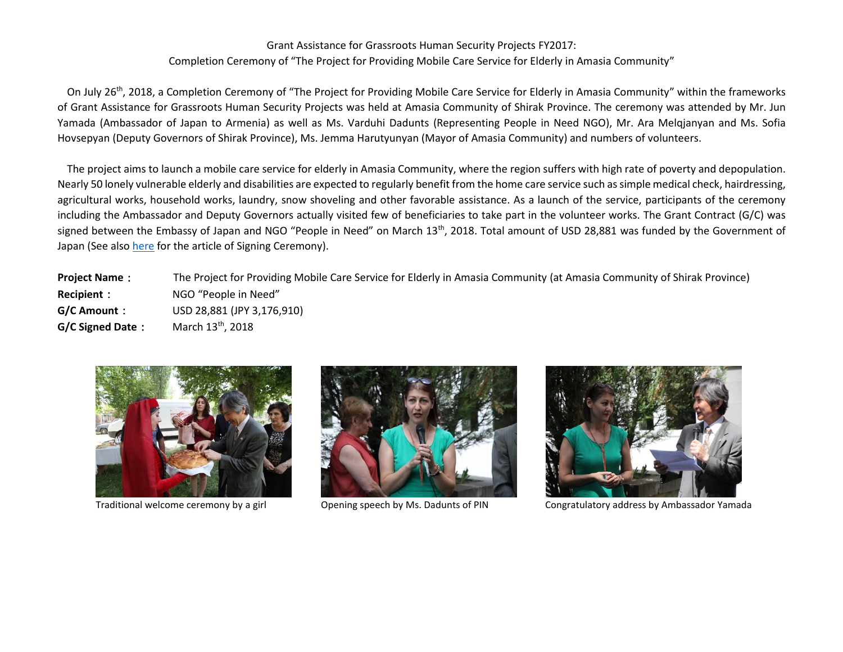## Grant Assistance for Grassroots Human Security Projects FY2017: Completion Ceremony of "The Project for Providing Mobile Care Service for Elderly in Amasia Community"

On July 26<sup>th</sup>, 2018, a Completion Ceremony of "The Project for Providing Mobile Care Service for Elderly in Amasia Community" within the frameworks of Grant Assistance for Grassroots Human Security Projects was held at Amasia Community of Shirak Province. The ceremony was attended by Mr. Jun Yamada (Ambassador of Japan to Armenia) as well as Ms. Varduhi Dadunts (Representing People in Need NGO), Mr. Ara Melqjanyan and Ms. Sofia Hovsepyan (Deputy Governors of Shirak Province), Ms. Jemma Harutyunyan (Mayor of Amasia Community) and numbers of volunteers.

The project aims to launch a mobile care service for elderly in Amasia Community, where the region suffers with high rate of poverty and depopulation. Nearly 50 lonely vulnerable elderly and disabilities are expected to regularly benefit from the home care service such as simple medical check, hairdressing, agricultural works, household works, laundry, snow shoveling and other favorable assistance. As a launch of the service, participants of the ceremony including the Ambassador and Deputy Governors actually visited few of beneficiaries to take part in the volunteer works. The Grant Contract (G/C) was signed between the Embassy of Japan and NGO "People in Need" on March 13<sup>th</sup>, 2018. Total amount of USD 28,881 was funded by the Government of Japan (See also [here](http://www.am.emb-japan.go.jp/files/000344210.pdf) for the article of Signing Ceremony).

**Project Name**: The Project for Providing Mobile Care Service for Elderly in Amasia Community (at Amasia Community of Shirak Province) **Recipient**: NGO "People in Need" **G/C Amount**: USD 28,881 (JPY 3,176,910) **G/C Signed Date**: March 13th, 2018







Traditional welcome ceremony by a girl Opening speech by Ms. Dadunts of PIN Congratulatory address by Ambassador Yamada